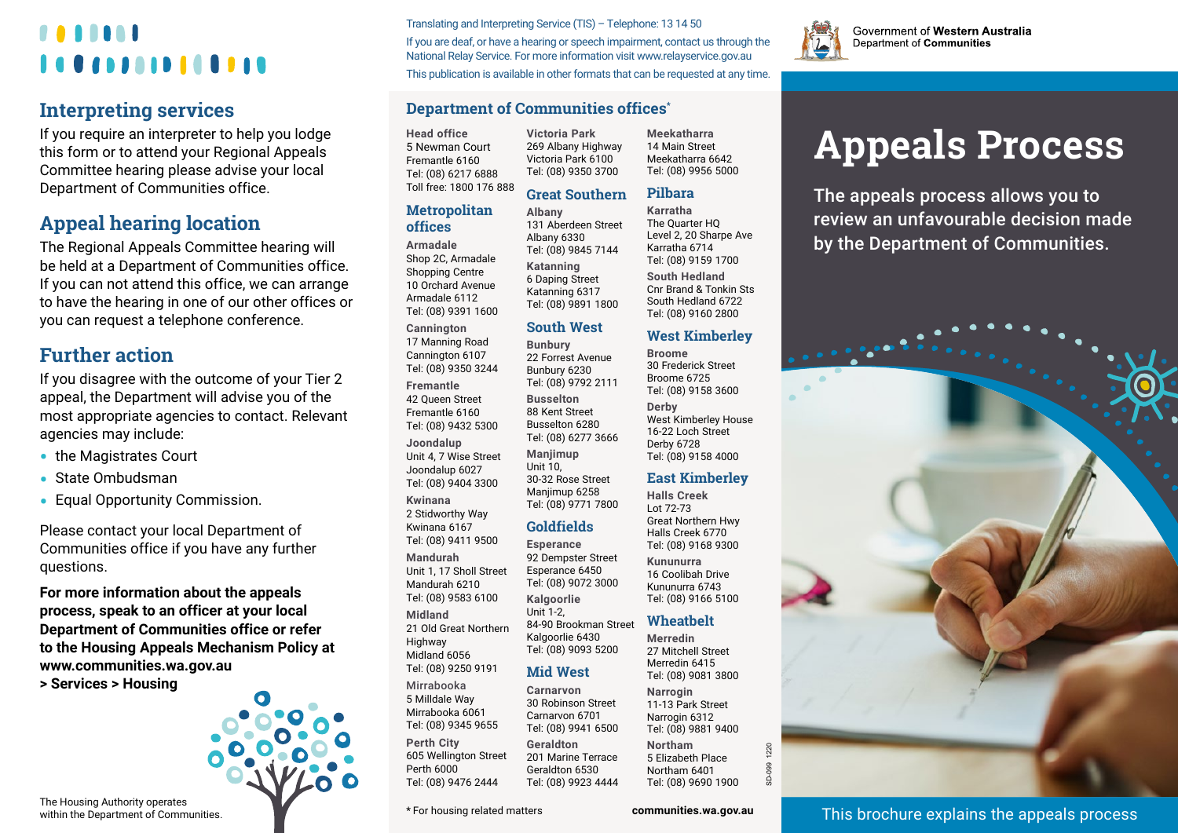# *<u><b>AAAAA</u>* 10000000000000

### **Interpreting services**

If you require an interpreter to help you lodge this form or to attend your Regional Appeals Committee hearing please advise your local Department of Communities office.

## **Appeal hearing location**

The Regional Appeals Committee hearing will be held at a Department of Communities office. If you can not attend this office, we can arrange to have the hearing in one of our other offices or you can request a telephone conference.

### **Further action**

If you disagree with the outcome of your Tier 2 appeal, the Department will advise you of the most appropriate agencies to contact. Relevant agencies may include:

- **•** the Magistrates Court
- **•** State Ombudsman
- **•** Equal Opportunity Commission.

Please contact your local Department of Communities office if you have any further questions.

**For more information about the appeals process, speak to an officer at your local Department of Communities office or refer to the Housing Appeals Mechanism Policy at [www.communities.wa.gov.au](http://www.housing.wa.gov.au/HousingDocuments/Appeals_Mechanism.pdf)** 

**[> Services > Housing](http://www.housing.wa.gov.au/HousingDocuments/Appeals_Mechanism.pdf)**



Translating and Interpreting Service (TIS) – Telephone: 13 14 50 If you are deaf, or have a hearing or speech impairment, contact us through the National Relay Service. For more information visit www.relayservice.gov.au

This publication is available in other formats that can be requested at any time.

### **Department of Communities offices\***

**Victoria Park**

**Head office** 5 Newman Court Fremantle 6160 Tel: (08) 6217 6888 Toll free: 1800 176 888

#### **Metropolitan offices**

**Armadale** Shop 2C, Armadale Shopping Centre 10 Orchard Avenue Armadale 6112 Tel: (08) 9391 1600 **Cannington** 

17 Manning Road Cannington 6107 Tel: (08) 9350 3244 **Fremantle** 42 Queen Street Fremantle 6160 Tel: (08) 9432 5300 **Joondalup** Unit 4, 7 Wise Street Joondalup 6027 Tel: (08) 9404 3300 **Kwinana** 2 Stidworthy Way Kwinana 6167

Tel: (08) 9411 9500 **Mandurah** Unit 1, 17 Sholl Street Mandurah 6210 Tel: (08) 9583 6100 **Midland** 21 Old Great Northern **Highway** Midland 6056 Tel: (08) 9250 9191 Mirrabooka

5 Milldale Way Mirrabooka 6061 Tel: (08) 9345 9655 **Perth City**

605 Wellington Street Perth 6000 Tel: (08) 9476 2444

269 Albany Highway Victoria Park 6100 Tel: (08) 9350 3700 **Great Southern** 14 Main Street Meekatharra 6642 Tel: (08) 9956 5000 **Pilbara**

**Meekatharra**

Tel: (08) 9160 2800 **West Kimberley**

West Kimberley House 16-22 Loch Street Derby 6728 Tel: (08) 9158 4000 **East Kimberley Halls Creek** Lot 72-73 Great Northern Hwy Halls Creek 6770 Tel: (08) 9168 9300 **Kununurra** 16 Coolibah Drive Kununurra 6743 Tel: (08) 9166 5100 **Wheatbelt Merredin** 27 Mitchell Street Merredin 6415 Tel: (08) 9081 3800 **Narrogin** 11-13 Park Street Narrogin 6312 Tel: (08) 9881 9400 **Northam** 5 Elizabeth Place Northam 6401 Tel: (08) 9690 1900

**Broome** 30 Frederick Street Broome 6725 Tel: (08) 9158 3600

**Derby**

**Albany** 131 Aberdeen Street Albany 6330 Tel: (08) 9845 7144 **Katanning** 6 Daping Street Katanning 6317 Tel: (08) 9891 1800 **Karratha** The Quarter HQ Level 2, 20 Sharpe Ave Karratha 6714 Tel: (08) 9159 1700 **South Hedland**  Cnr Brand & Tonkin Sts South Hedland 6722

### **South West**

**Bunbury** 22 Forrest Avenue Bunbury 6230 Tel: (08) 9792 2111 **Busselton** 88 Kent Street Busselton 6280 Tel: (08) 6277 3666 **Manjimup** Unit 10, 30-32 Rose Street Manjimup 6258

92 Dempster Street Tel: (08) 9072 3000

Unit 1-2,

### **Mid West**

Tel: (08) 9923 4444

**Carnarvon** 30 Robinson Street Carnarvon 6701 Tel: (08) 9941 6500 **Geraldton** 201 Marine Terrace Geraldton 6530

\* For housing related matters **[communities.wa.gov.au](http://www.communities.wa.gov.au)**

SD-099 1220

220



Government of Western Australia Department of Communities

# **Appeals Process**

The appeals process allows you to review an unfavourable decision made by the Department of Communities.

This brochure explains the appeals process

The Housing Authority operates within the Department of Communities. Tel: (08) 9771 7800 **Goldfields Esperance** Esperance 6450 **Kalgoorlie**

> 84-90 Brookman Street Kalgoorlie 6430 Tel: (08) 9093 5200